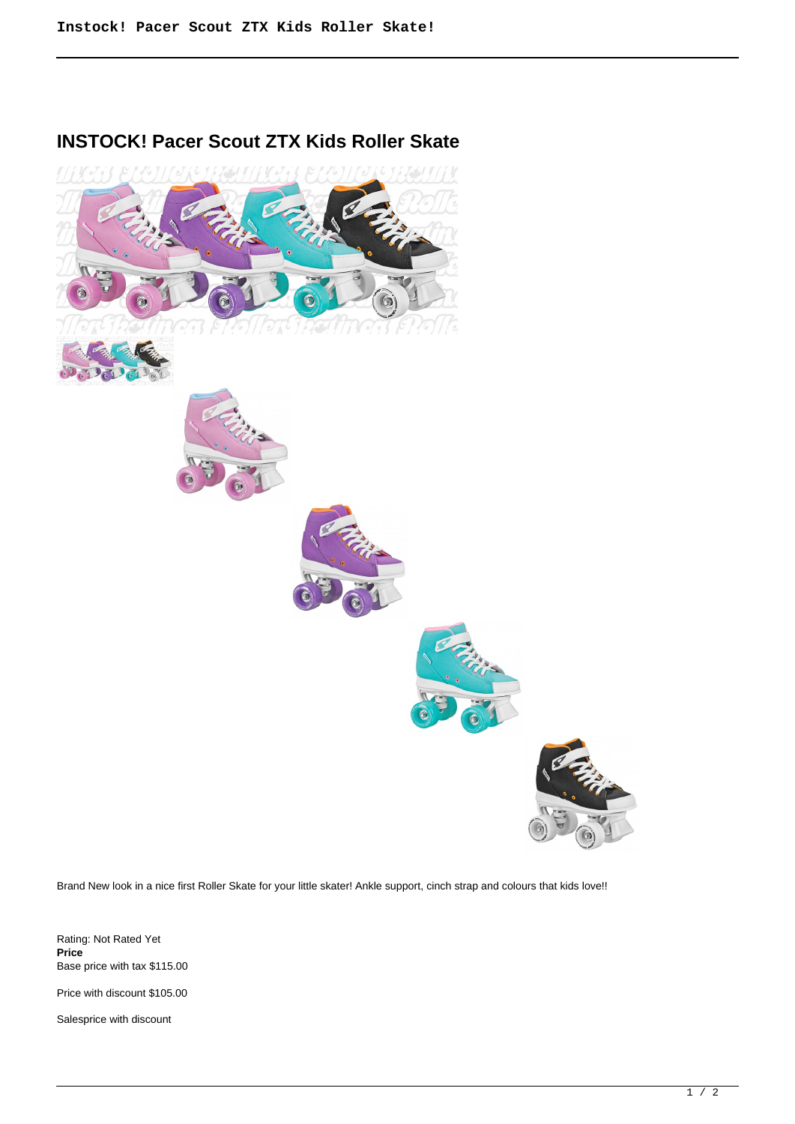## **INSTOCK! Pacer Scout ZTX Kids Roller Skate**



Brand New look in a nice first Roller Skate for your little skater! Ankle support, cinch strap and colours that kids love!!

Rating: Not Rated Yet **Price**  Base price with tax \$115.00

Price with discount \$105.00

Salesprice with discount